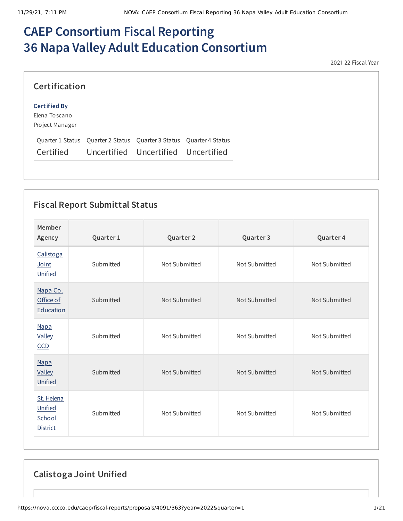# **CAEP Consortium Fiscal Reporting 36 Napa Valley Adult Education Consortium**

2021-22 Fiscal Year

| Certification                                                                                                        |  |  |
|----------------------------------------------------------------------------------------------------------------------|--|--|
| Certified By<br>Elena Toscano                                                                                        |  |  |
| Project Manager                                                                                                      |  |  |
| Quarter 1 Status Quarter 2 Status Quarter 3 Status Quarter 4 Status<br>Certified Uncertified Uncertified Uncertified |  |  |

## **Fiscal Report Submittal Status**

| Member<br>Agency                                   | Quarter 1 | Quarter 2     | Quarter 3     | Quarter 4     |
|----------------------------------------------------|-----------|---------------|---------------|---------------|
| Calistoga<br>Joint<br>Unified                      | Submitted | Not Submitted | Not Submitted | Not Submitted |
| Napa Co.<br>Office of<br>Education                 | Submitted | Not Submitted | Not Submitted | Not Submitted |
| <b>Napa</b><br><b>Valley</b><br>$CCD$              | Submitted | Not Submitted | Not Submitted | Not Submitted |
| <b>Napa</b><br><b>Valley</b><br>Unified            | Submitted | Not Submitted | Not Submitted | Not Submitted |
| St. Helena<br>Unified<br>School<br><b>District</b> | Submitted | Not Submitted | Not Submitted | Not Submitted |

**Calistoga Joint Unified**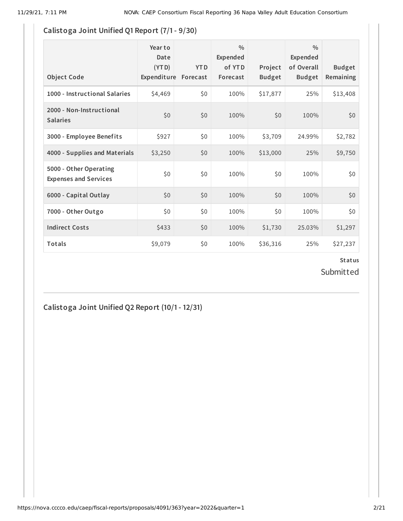#### **Calistoga Joint Unified Q1 Report (7/1- 9/30)**

| <b>Object Code</b>                                     | Year to<br>Date<br>(YTD)<br>Expenditure | <b>YTD</b><br>Forecast | $\frac{0}{0}$<br>Expended<br>of YTD<br>Forecast | Project<br><b>Budget</b> | $\frac{0}{0}$<br>Expended<br>of Overall<br><b>Budget</b> | <b>Budget</b><br>Remaining |
|--------------------------------------------------------|-----------------------------------------|------------------------|-------------------------------------------------|--------------------------|----------------------------------------------------------|----------------------------|
| 1000 - Instructional Salaries                          | \$4,469                                 | \$0                    | 100%                                            | \$17,877                 | 25%                                                      | \$13,408                   |
| 2000 - Non-Instructional<br><b>Salaries</b>            | \$0                                     | \$0                    | 100%                                            | \$0                      | 100%                                                     | \$0                        |
| 3000 - Employee Benefits                               | \$927                                   | \$0                    | 100%                                            | \$3,709                  | 24.99%                                                   | \$2,782                    |
| 4000 - Supplies and Materials                          | \$3,250                                 | \$0                    | 100%                                            | \$13,000                 | 25%                                                      | \$9,750                    |
| 5000 - Other Operating<br><b>Expenses and Services</b> | \$0                                     | \$0                    | 100%                                            | \$0                      | 100%                                                     | \$0                        |
| 6000 - Capital Outlay                                  | \$0                                     | \$0                    | 100%                                            | \$0                      | 100%                                                     | \$0                        |
| 7000 - Other Outgo                                     | \$0\$                                   | \$0                    | 100%                                            | \$0                      | 100%                                                     | \$0                        |
| <b>Indirect Costs</b>                                  | \$433                                   | \$0                    | 100%                                            | \$1,730                  | 25.03%                                                   | \$1,297                    |
| Totals                                                 | \$9,079                                 | \$0                    | 100%                                            | \$36,316                 | 25%                                                      | \$27,237                   |

# **Status**

Submitted

**Calistoga Joint Unified Q2 Report (10/1- 12/31)**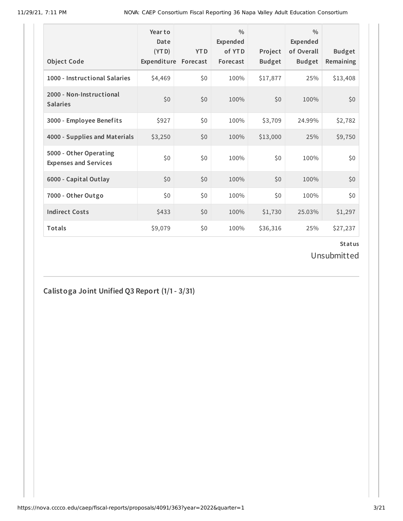11/29/21, 7:11 PM NOVA: CAEP Consortium Fiscal Reporting 36 Napa Valley Adult Education Consortium

| <b>Object Code</b>                                     | Year to<br>Date<br>(4T D)<br>Expenditure | <b>YTD</b><br>Forecast | $\frac{0}{0}$<br>Expended<br>of YTD<br>Forecast | Project<br><b>Budget</b> | $\frac{0}{0}$<br>Expended<br>of Overall<br><b>Budget</b> | <b>Budget</b><br>Remaining |
|--------------------------------------------------------|------------------------------------------|------------------------|-------------------------------------------------|--------------------------|----------------------------------------------------------|----------------------------|
| 1000 - Instructional Salaries                          | \$4,469                                  | \$0                    | 100%                                            | \$17,877                 | 25%                                                      | \$13,408                   |
| 2000 - Non-Instructional<br><b>Salaries</b>            | \$0                                      | \$0                    | 100%                                            | \$0                      | 100%                                                     | \$0                        |
| 3000 - Employee Benefits                               | \$927                                    | \$0                    | 100%                                            | \$3,709                  | 24.99%                                                   | \$2,782                    |
| 4000 - Supplies and Materials                          | \$3,250                                  | \$0                    | 100%                                            | \$13,000                 | 25%                                                      | \$9,750                    |
| 5000 - Other Operating<br><b>Expenses and Services</b> | \$0                                      | \$0                    | 100%                                            | \$0                      | 100%                                                     | \$0                        |
| 6000 - Capital Outlay                                  | \$0                                      | \$0                    | 100%                                            | \$0                      | 100%                                                     | \$0                        |
| 7000 - Other Outgo                                     | \$0                                      | \$0                    | 100%                                            | \$0\$                    | 100%                                                     | \$0                        |
| <b>Indirect Costs</b>                                  | \$433                                    | \$0                    | 100%                                            | \$1,730                  | 25.03%                                                   | \$1,297                    |
| <b>Totals</b>                                          | \$9,079                                  | \$0                    | 100%                                            | \$36,316                 | 25%                                                      | \$27,237                   |

#### **Status**

Unsubmitted

# **Calistoga Joint Unified Q3 Report (1/1- 3/31)**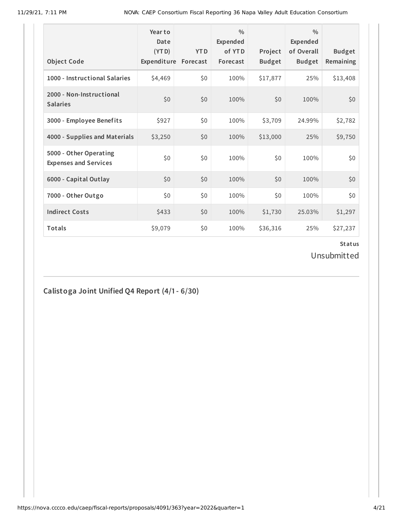| <b>Object Code</b>                                     | Year to<br>Date<br>(4T <sub>D</sub> )<br>Expenditure | <b>YTD</b><br>Forecast | $\frac{0}{0}$<br>Expended<br>of YTD<br>Forecast | Project<br><b>Budget</b> | $\frac{0}{0}$<br>Expended<br>of Overall<br><b>Budget</b> | <b>Budget</b><br>Remaining |
|--------------------------------------------------------|------------------------------------------------------|------------------------|-------------------------------------------------|--------------------------|----------------------------------------------------------|----------------------------|
| 1000 - Instructional Salaries                          | \$4,469                                              | \$0                    | 100%                                            | \$17,877                 | 25%                                                      | \$13,408                   |
| 2000 - Non-Instructional<br><b>Salaries</b>            | \$0                                                  | \$0                    | 100%                                            | \$0                      | 100%                                                     | \$0                        |
| 3000 - Employee Benefits                               | \$927                                                | \$0                    | 100%                                            | \$3,709                  | 24.99%                                                   | \$2,782                    |
| 4000 - Supplies and Materials                          | \$3,250                                              | \$0                    | 100%                                            | \$13,000                 | 25%                                                      | \$9,750                    |
| 5000 - Other Operating<br><b>Expenses and Services</b> | \$0                                                  | \$0                    | 100%                                            | \$0                      | 100%                                                     | \$0                        |
| 6000 - Capital Outlay                                  | \$0                                                  | \$0                    | 100%                                            | \$0                      | 100%                                                     | \$0                        |
| 7000 - Other Outgo                                     | \$0                                                  | \$0                    | 100%                                            | \$0\$                    | 100%                                                     | \$0                        |
| <b>Indirect Costs</b>                                  | \$433                                                | \$0                    | 100%                                            | \$1,730                  | 25.03%                                                   | \$1,297                    |
| <b>Totals</b>                                          | \$9,079                                              | \$0                    | 100%                                            | \$36,316                 | 25%                                                      | \$27,237                   |

Unsubmitted

# **Calistoga Joint Unified Q4 Report (4/1- 6/30)**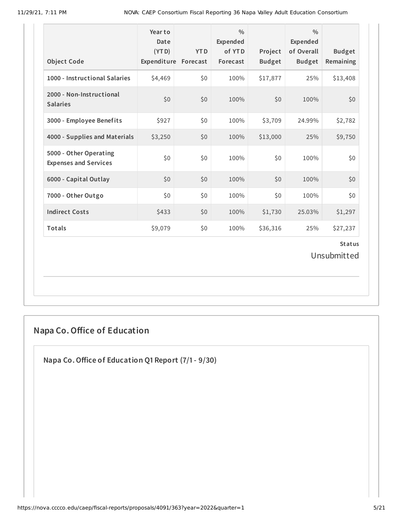11/29/21, 7:11 PM NOVA: CAEP Consortium Fiscal Reporting 36 Napa Valley Adult Education Consortium

| <b>Object Code</b>                                     | Year to<br>Date<br>(YTD)<br>Expenditure Forecast | <b>YTD</b> | $\frac{0}{0}$<br>Expended<br>of YTD<br>Forecast | Project<br><b>Budget</b> | $\frac{0}{0}$<br>Expended<br>of Overall<br><b>Budget</b> | <b>Budget</b><br>Remaining   |
|--------------------------------------------------------|--------------------------------------------------|------------|-------------------------------------------------|--------------------------|----------------------------------------------------------|------------------------------|
| 1000 - Instructional Salaries                          | \$4,469                                          | \$0\$      | 100%                                            | \$17,877                 | 25%                                                      | \$13,408                     |
| 2000 - Non-Instructional<br><b>Salaries</b>            | \$0                                              | \$0        | 100%                                            | \$0                      | 100%                                                     | \$0                          |
| 3000 - Employee Benefits                               | \$927                                            | \$0        | 100%                                            | \$3,709                  | 24.99%                                                   | \$2,782                      |
| 4000 - Supplies and Materials                          | \$3,250                                          | \$0        | 100%                                            | \$13,000                 | 25%                                                      | \$9,750                      |
| 5000 - Other Operating<br><b>Expenses and Services</b> | \$0                                              | \$0        | 100%                                            | \$0\$                    | 100%                                                     | \$0                          |
| 6000 - Capital Outlay                                  | \$0                                              | \$0        | 100%                                            | \$0                      | 100%                                                     | \$0                          |
| 7000 - Other Outgo                                     | \$0                                              | \$0        | 100%                                            | \$0                      | 100%                                                     | \$0                          |
| <b>Indirect Costs</b>                                  | \$433                                            | \$0        | 100%                                            | \$1,730                  | 25.03%                                                   | \$1,297                      |
| Totals                                                 | \$9,079                                          | \$0        | 100%                                            | \$36,316                 | 25%                                                      | \$27,237                     |
|                                                        |                                                  |            |                                                 |                          |                                                          | <b>Status</b><br>Unsubmitted |

# **Napa Co.Office of Education**

**Napa Co.Office of Education Q1 Report (7/1- 9/30)**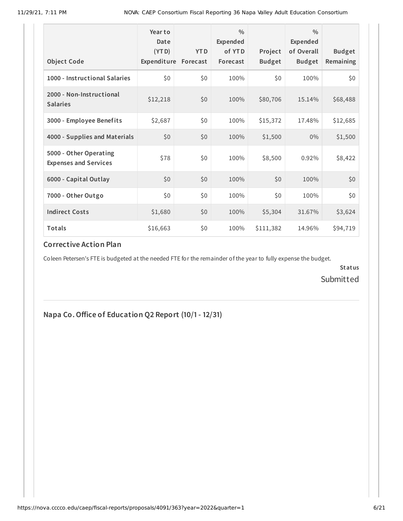| <b>Object Code</b>                                     | Year to<br>Date<br>(YTD)<br>Expenditure | <b>YTD</b><br>Forecast | $\frac{0}{0}$<br>Expended<br>of YTD<br>Forecast | Project<br><b>Budget</b> | $\frac{0}{0}$<br><b>Expended</b><br>of Overall<br><b>Budget</b> | <b>Budget</b><br>Remaining |
|--------------------------------------------------------|-----------------------------------------|------------------------|-------------------------------------------------|--------------------------|-----------------------------------------------------------------|----------------------------|
| 1000 - Instructional Salaries                          | \$0                                     | \$0                    | 100%                                            | \$0                      | 100%                                                            | \$0                        |
| 2000 - Non-Instructional<br><b>Salaries</b>            | \$12,218                                | \$0                    | 100%                                            | \$80,706                 | 15.14%                                                          | \$68,488                   |
| 3000 - Employee Benefits                               | \$2,687                                 | \$0                    | 100%                                            | \$15,372                 | 17.48%                                                          | \$12,685                   |
| 4000 - Supplies and Materials                          | \$0                                     | \$0                    | 100%                                            | \$1,500                  | $0\%$                                                           | \$1,500                    |
| 5000 - Other Operating<br><b>Expenses and Services</b> | \$78                                    | \$0                    | 100%                                            | \$8,500                  | 0.92%                                                           | \$8,422                    |
| 6000 - Capital Outlay                                  | \$0                                     | \$0                    | 100%                                            | \$0                      | 100%                                                            | \$0                        |
| 7000 - Other Outgo                                     | \$0                                     | \$0                    | 100%                                            | \$0                      | 100%                                                            | \$0                        |
| <b>Indirect Costs</b>                                  | \$1,680                                 | \$0                    | 100%                                            | \$5,304                  | 31.67%                                                          | \$3,624                    |
| Totals                                                 | \$16,663                                | \$0                    | 100%                                            | \$111,382                | 14.96%                                                          | \$94,719                   |

#### **Corrective Action Plan**

Coleen Petersen's FTE is budgeted at the needed FTE for the remainder of the year to fully expense the budget.

**Status** Submitted

**Napa Co.Office of Education Q2 Report (10/1- 12/31)**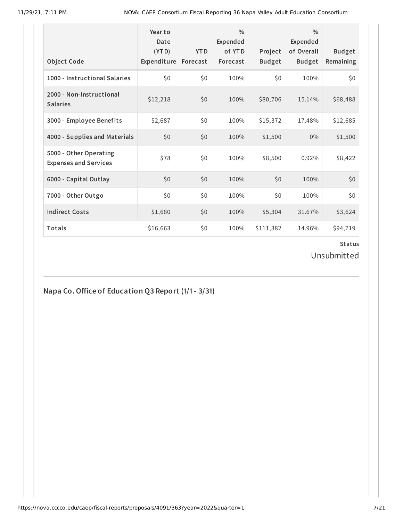| <b>Object Code</b>                                     | Year to<br>Date<br>(YTD)<br>Expenditure | <b>YTD</b><br>Forecast | $\frac{0}{0}$<br><b>Expended</b><br>of YTD<br>Forecast | Project<br><b>Budget</b> | $\frac{0}{0}$<br><b>Expended</b><br>of Overall<br><b>Budget</b> | <b>Budget</b><br>Remaining |
|--------------------------------------------------------|-----------------------------------------|------------------------|--------------------------------------------------------|--------------------------|-----------------------------------------------------------------|----------------------------|
| 1000 - Instructional Salaries                          | \$0                                     | \$0                    | 100%                                                   | \$0                      | 100%                                                            | \$0                        |
| 2000 - Non-Instructional<br><b>Salaries</b>            | \$12,218                                | \$0                    | 100%                                                   | \$80,706                 | 15.14%                                                          | \$68,488                   |
| 3000 - Employee Benefits                               | \$2,687                                 | \$0                    | 100%                                                   | \$15,372                 | 17.48%                                                          | \$12,685                   |
| 4000 - Supplies and Materials                          | \$0                                     | \$0                    | 100%                                                   | \$1,500                  | 0%                                                              | \$1,500                    |
| 5000 - Other Operating<br><b>Expenses and Services</b> | \$78                                    | \$0                    | 100%                                                   | \$8,500                  | 0.92%                                                           | \$8,422                    |
| 6000 - Capital Outlay                                  | \$0                                     | \$0                    | 100%                                                   | \$0                      | 100%                                                            | \$0                        |
| 7000 - Other Outgo                                     | \$0                                     | \$0                    | 100%                                                   | \$0                      | 100%                                                            | \$0                        |
| <b>Indirect Costs</b>                                  | \$1,680                                 | \$0                    | 100%                                                   | \$5,304                  | 31.67%                                                          | \$3,624                    |
| Totals                                                 | \$16,663                                | \$0                    | 100%                                                   | \$111,382                | 14.96%                                                          | \$94,719                   |

Unsubmitted

**Napa Co.Office of Education Q3 Report (1/1- 3/31)**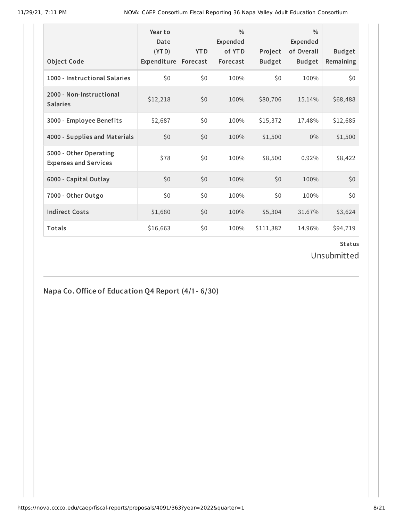| <b>Object Code</b>                                     | Year to<br>Date<br>(YTD)<br>Expenditure | <b>YTD</b><br>Forecast | $\frac{0}{0}$<br>Expended<br>of YTD<br>Forecast | Project<br><b>Budget</b> | $\frac{0}{0}$<br><b>Expended</b><br>of Overall<br><b>Budget</b> | <b>Budget</b><br>Remaining |
|--------------------------------------------------------|-----------------------------------------|------------------------|-------------------------------------------------|--------------------------|-----------------------------------------------------------------|----------------------------|
| 1000 - Instructional Salaries                          | \$0                                     | \$0                    | 100%                                            | \$0                      | 100%                                                            | \$0                        |
| 2000 - Non-Instructional<br><b>Salaries</b>            | \$12,218                                | \$0                    | 100%                                            | \$80,706                 | 15.14%                                                          | \$68,488                   |
| 3000 - Employee Benefits                               | \$2,687                                 | \$0                    | 100%                                            | \$15,372                 | 17.48%                                                          | \$12,685                   |
| 4000 - Supplies and Materials                          | \$0                                     | \$0                    | 100%                                            | \$1,500                  | $0\%$                                                           | \$1,500                    |
| 5000 - Other Operating<br><b>Expenses and Services</b> | \$78                                    | \$0                    | 100%                                            | \$8,500                  | 0.92%                                                           | \$8,422                    |
| 6000 - Capital Outlay                                  | \$0                                     | \$0                    | 100%                                            | \$0                      | 100%                                                            | \$0                        |
| 7000 - Other Outgo                                     | \$0                                     | \$0                    | 100%                                            | \$0                      | 100%                                                            | \$0                        |
| <b>Indirect Costs</b>                                  | \$1,680                                 | \$0                    | 100%                                            | \$5,304                  | 31.67%                                                          | \$3,624                    |
| Totals                                                 | \$16,663                                | \$0                    | 100%                                            | \$111,382                | 14.96%                                                          | \$94,719                   |

Unsubmitted

**Napa Co.Office of Education Q4 Report (4/1- 6/30)**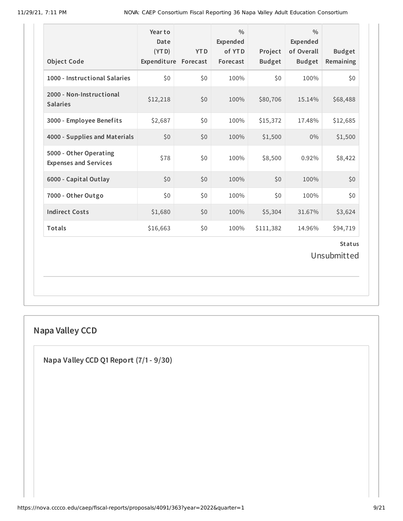| <b>Object Code</b>                                     | Year to<br>Date<br>(YTD)<br>Expenditure Forecast | <b>YTD</b> | $\frac{0}{0}$<br>Expended<br>of YTD<br>Forecast | Project<br><b>Budget</b> | $\frac{0}{0}$<br>Expended<br>of Overall<br><b>Budget</b> | <b>Budget</b><br>Remaining   |
|--------------------------------------------------------|--------------------------------------------------|------------|-------------------------------------------------|--------------------------|----------------------------------------------------------|------------------------------|
| 1000 - Instructional Salaries                          | \$0                                              | \$0        | 100%                                            | \$0                      | 100%                                                     | \$0                          |
| 2000 - Non-Instructional<br><b>Salaries</b>            | \$12,218                                         | \$0        | 100%                                            | \$80,706                 | 15.14%                                                   | \$68,488                     |
| 3000 - Employee Benefits                               | \$2,687                                          | \$0        | 100%                                            | \$15,372                 | 17.48%                                                   | \$12,685                     |
| 4000 - Supplies and Materials                          | \$0                                              | \$0        | 100%                                            | \$1,500                  | $0\%$                                                    | \$1,500                      |
| 5000 - Other Operating<br><b>Expenses and Services</b> | \$78                                             | \$0        | 100%                                            | \$8,500                  | 0.92%                                                    | \$8,422                      |
| 6000 - Capital Outlay                                  | \$0                                              | \$0        | 100%                                            | \$0                      | 100%                                                     | \$0                          |
| 7000 - Other Outgo                                     | \$0                                              | \$0        | 100%                                            | \$0                      | 100%                                                     | \$0                          |
| <b>Indirect Costs</b>                                  | \$1,680                                          | \$0        | 100%                                            | \$5,304                  | 31.67%                                                   | \$3,624                      |
| Totals                                                 | \$16,663                                         | \$0        | 100%                                            | \$111,382                | 14.96%                                                   | \$94,719                     |
|                                                        |                                                  |            |                                                 |                          |                                                          | <b>Status</b><br>Unsubmitted |

# **Napa Valley CCD**

**Napa Valley CCD Q1 Report (7/1- 9/30)**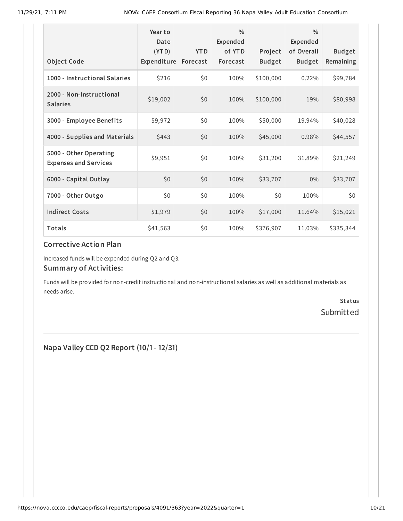|                                                        | Year to<br>Date<br>(YTD) | <b>YTD</b> | $\frac{0}{0}$<br>Expended<br>of YTD | Project       | $\frac{0}{0}$<br><b>Expended</b><br>of Overall | <b>Budget</b> |
|--------------------------------------------------------|--------------------------|------------|-------------------------------------|---------------|------------------------------------------------|---------------|
| <b>Object Code</b>                                     | Expenditure              | Forecast   | Forecast                            | <b>Budget</b> | <b>Budget</b>                                  | Remaining     |
| 1000 - Instructional Salaries                          | \$216                    | \$0        | 100%                                | \$100,000     | 0.22%                                          | \$99,784      |
| 2000 - Non-Instructional<br><b>Salaries</b>            | \$19,002                 | \$0        | 100%                                | \$100,000     | 19%                                            | \$80,998      |
| 3000 - Employee Benefits                               | \$9,972                  | \$0        | 100%                                | \$50,000      | 19.94%                                         | \$40,028      |
| 4000 - Supplies and Materials                          | \$443                    | \$0        | 100%                                | \$45,000      | 0.98%                                          | \$44,557      |
| 5000 - Other Operating<br><b>Expenses and Services</b> | \$9,951                  | \$0        | 100%                                | \$31,200      | 31.89%                                         | \$21,249      |
| 6000 - Capital Outlay                                  | \$0                      | \$0        | 100%                                | \$33,707      | $0\%$                                          | \$33,707      |
| 7000 - Other Outgo                                     | \$0                      | \$0        | 100%                                | \$0           | 100%                                           | \$0           |
| <b>Indirect Costs</b>                                  | \$1,979                  | \$0        | 100%                                | \$17,000      | 11.64%                                         | \$15,021      |
| Totals                                                 | \$41,563                 | \$0        | 100%                                | \$376,907     | 11.03%                                         | \$335,344     |

#### **Corrective Action Plan**

Increased funds will be expended during Q2 and Q3.

#### **Summary of Activities:**

Funds will be provided for non-credit instructional and non-instructional salaries as well as additional materials as needs arise.

> **Status** Submitted

**Napa Valley CCD Q2 Report (10/1- 12/31)**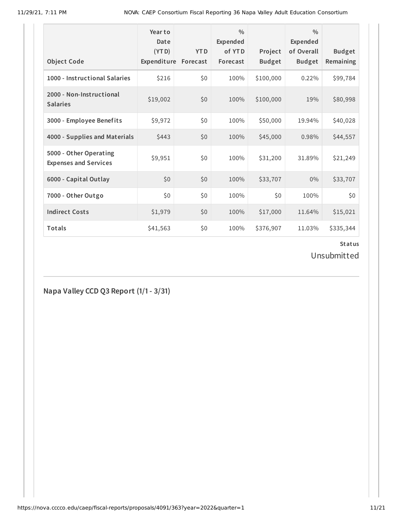| <b>Object Code</b>                                     | Year to<br>Date<br>(YTD)<br>Expenditure | <b>YTD</b><br>Forecast | $\frac{0}{0}$<br>Expended<br>of YTD<br>Forecast | Project<br><b>Budget</b> | $\frac{0}{0}$<br>Expended<br>of Overall<br><b>Budget</b> | <b>Budget</b><br>Remaining |
|--------------------------------------------------------|-----------------------------------------|------------------------|-------------------------------------------------|--------------------------|----------------------------------------------------------|----------------------------|
| 1000 - Instructional Salaries                          | \$216                                   | \$0                    | 100%                                            | \$100,000                | 0.22%                                                    | \$99,784                   |
| 2000 - Non-Instructional<br><b>Salaries</b>            | \$19,002                                | \$0                    | 100%                                            | \$100,000                | 19%                                                      | \$80,998                   |
| 3000 - Employee Benefits                               | \$9,972                                 | \$0                    | 100%                                            | \$50,000                 | 19.94%                                                   | \$40,028                   |
| 4000 - Supplies and Materials                          | \$443                                   | \$0                    | 100%                                            | \$45,000                 | 0.98%                                                    | \$44,557                   |
| 5000 - Other Operating<br><b>Expenses and Services</b> | \$9,951                                 | \$0                    | 100%                                            | \$31,200                 | 31.89%                                                   | \$21,249                   |
| 6000 - Capital Outlay                                  | \$0                                     | \$0                    | 100%                                            | \$33,707                 | $0\%$                                                    | \$33,707                   |
| 7000 - Other Outgo                                     | \$0                                     | \$0                    | 100%                                            | \$0                      | 100%                                                     | \$0                        |
| <b>Indirect Costs</b>                                  | \$1,979                                 | \$0                    | 100%                                            | \$17,000                 | 11.64%                                                   | \$15,021                   |
| <b>Totals</b>                                          | \$41,563                                | \$0                    | 100%                                            | \$376,907                | 11.03%                                                   | \$335,344                  |

Unsubmitted

**Napa Valley CCD Q3 Report (1/1- 3/31)**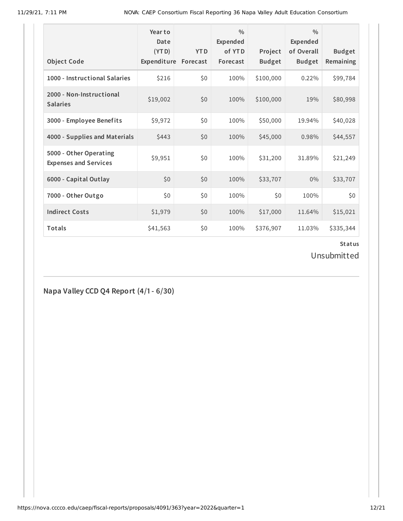| <b>Object Code</b>                                     | Year to<br>Date<br>(YTD)<br>Expenditure | <b>YTD</b><br>Forecast | $\frac{0}{0}$<br>Expended<br>of YTD<br>Forecast | Project<br><b>Budget</b> | $\frac{0}{0}$<br><b>Expended</b><br>of Overall<br><b>Budget</b> | <b>Budget</b><br>Remaining |
|--------------------------------------------------------|-----------------------------------------|------------------------|-------------------------------------------------|--------------------------|-----------------------------------------------------------------|----------------------------|
| 1000 - Instructional Salaries                          | \$216                                   | \$0                    | 100%                                            | \$100,000                | 0.22%                                                           | \$99,784                   |
| 2000 - Non-Instructional<br><b>Salaries</b>            | \$19,002                                | \$0                    | 100%                                            | \$100,000                | 19%                                                             | \$80,998                   |
| 3000 - Employee Benefits                               | \$9,972                                 | \$0                    | 100%                                            | \$50,000                 | 19.94%                                                          | \$40,028                   |
| 4000 - Supplies and Materials                          | \$443                                   | \$0                    | 100%                                            | \$45,000                 | 0.98%                                                           | \$44,557                   |
| 5000 - Other Operating<br><b>Expenses and Services</b> | \$9,951                                 | \$0                    | 100%                                            | \$31,200                 | 31.89%                                                          | \$21,249                   |
| 6000 - Capital Outlay                                  | \$0                                     | \$0                    | 100%                                            | \$33,707                 | $0\%$                                                           | \$33,707                   |
| 7000 - Other Outgo                                     | \$0                                     | \$0                    | 100%                                            | \$0                      | 100%                                                            | \$0                        |
| <b>Indirect Costs</b>                                  | \$1,979                                 | \$0                    | 100%                                            | \$17,000                 | 11.64%                                                          | \$15,021                   |
| <b>Totals</b>                                          | \$41,563                                | \$0                    | 100%                                            | \$376,907                | 11.03%                                                          | \$335,344                  |

Unsubmitted

**Napa Valley CCD Q4 Report (4/1- 6/30)**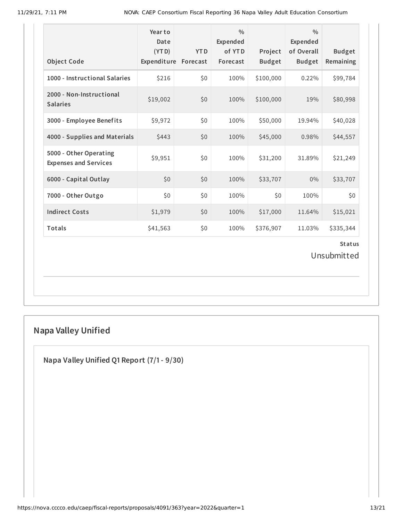| <b>Object Code</b>                                     | Year to<br>Date<br>(YTD)<br>Expenditure Forecast | <b>YTD</b> | $\frac{0}{0}$<br>Expended<br>of YTD<br>Forecast | Project<br><b>Budget</b> | $\frac{0}{0}$<br><b>Expended</b><br>of Overall<br><b>Budget</b> | <b>Budget</b><br>Remaining |  |  |  |
|--------------------------------------------------------|--------------------------------------------------|------------|-------------------------------------------------|--------------------------|-----------------------------------------------------------------|----------------------------|--|--|--|
| 1000 - Instructional Salaries                          | \$216                                            | \$0        | 100%                                            | \$100,000                | 0.22%                                                           | \$99,784                   |  |  |  |
| 2000 - Non-Instructional<br><b>Salaries</b>            | \$19,002                                         | \$0        | 100%                                            | \$100,000                | 19%                                                             | \$80,998                   |  |  |  |
| 3000 - Employee Benefits                               | \$9,972                                          | \$0        | 100%                                            | \$50,000                 | 19.94%                                                          | \$40,028                   |  |  |  |
| 4000 - Supplies and Materials                          | \$443                                            | \$0        | 100%                                            | \$45,000                 | 0.98%                                                           | \$44,557                   |  |  |  |
| 5000 - Other Operating<br><b>Expenses and Services</b> | \$9,951                                          | \$0        | 100%                                            | \$31,200                 | 31.89%                                                          | \$21,249                   |  |  |  |
| 6000 - Capital Outlay                                  | \$0                                              | \$0        | 100%                                            | \$33,707                 | 0%                                                              | \$33,707                   |  |  |  |
| 7000 - Other Outgo                                     | \$0                                              | \$0        | 100%                                            | \$0                      | 100%                                                            | \$0\$                      |  |  |  |
| <b>Indirect Costs</b>                                  | \$1,979                                          | \$0        | 100%                                            | \$17,000                 | 11.64%                                                          | \$15,021                   |  |  |  |
| Totals                                                 | \$41,563                                         | \$0        | 100%                                            | \$376,907                | 11.03%                                                          | \$335,344                  |  |  |  |
| <b>Status</b><br>Unsubmitted                           |                                                  |            |                                                 |                          |                                                                 |                            |  |  |  |

# **Napa Valley Unified**

**Napa Valley Unified Q1 Report (7/1- 9/30)**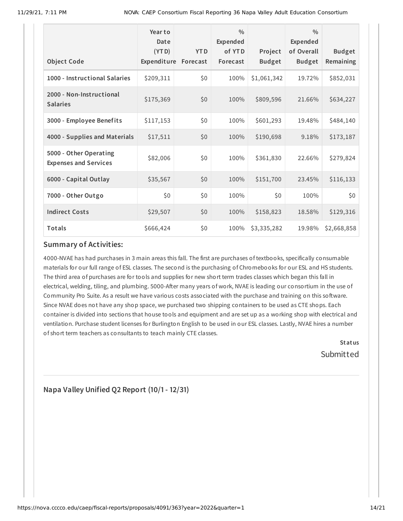| <b>Object Code</b>                                     | Year to<br>Date<br>(YTD)<br>Expenditure | <b>YTD</b><br>Forecast | $\frac{0}{0}$<br>Expended<br>of YTD<br>Forecast | Project<br><b>Budget</b> | $\frac{0}{0}$<br><b>Expended</b><br>of Overall<br><b>Budget</b> | <b>Budget</b><br>Remaining |
|--------------------------------------------------------|-----------------------------------------|------------------------|-------------------------------------------------|--------------------------|-----------------------------------------------------------------|----------------------------|
| 1000 - Instructional Salaries                          | \$209,311                               | \$0                    | 100%                                            | \$1,061,342              | 19.72%                                                          | \$852,031                  |
| 2000 - Non-Instructional<br><b>Salaries</b>            | \$175,369                               | \$0                    | 100%                                            | \$809,596                | 21.66%                                                          | \$634,227                  |
| 3000 - Employee Benefits                               | \$117,153                               | \$0                    | 100%                                            | \$601,293                | 19.48%                                                          | \$484,140                  |
| 4000 - Supplies and Materials                          | \$17,511                                | \$0                    | 100%                                            | \$190,698                | 9.18%                                                           | \$173,187                  |
| 5000 - Other Operating<br><b>Expenses and Services</b> | \$82,006                                | \$0                    | 100%                                            | \$361,830                | 22.66%                                                          | \$279,824                  |
| 6000 - Capital Outlay                                  | \$35,567                                | \$0                    | 100%                                            | \$151,700                | 23.45%                                                          | \$116,133                  |
| 7000 - Other Outgo                                     | \$0                                     | \$0                    | 100%                                            | \$0                      | 100%                                                            | \$0                        |
| <b>Indirect Costs</b>                                  | \$29,507                                | \$0                    | 100%                                            | \$158,823                | 18.58%                                                          | \$129,316                  |
| Totals                                                 | \$666,424                               | \$0                    | 100%                                            | \$3,335,282              | 19.98%                                                          | \$2,668,858                |

#### **Summary of Activities:**

4000-NVAE has had purchases in 3 main areas this fall. The first are purchases of textbooks, specifically consumable materials for our full range of ESL classes. The second is the purchasing of Chromebooks for our ESL and HS students. The third area of purchases are for tools and supplies for new short term trades classes which began this fall in electrical, welding, tiling, and plumbing. 5000-After many years of work, NVAE is leading our consortium in the use of Community Pro Suite. As a result we have various costs associated with the purchase and training on this software. Since NVAE does not have any shop space, we purchased two shipping containers to be used as CTE shops. Each container is divided into sections that house tools and equipment and are set up as a working shop with electrical and ventilation. Purchase student licenses for Burlington English to be used in our ESL classes. Lastly, NVAE hires a number of short term teachers as consultants to teach mainly CTE classes.

> **Status** Submitted

**Napa Valley Unified Q2 Report (10/1- 12/31)**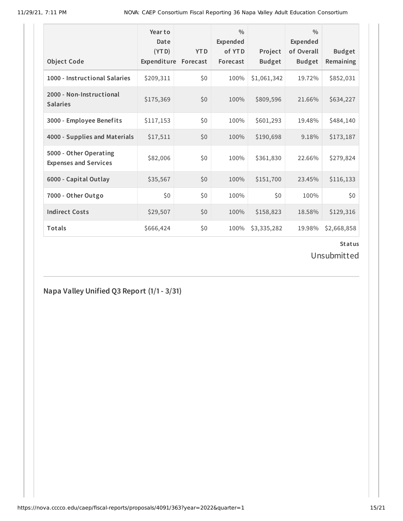| <b>Object Code</b>                                     | Year to<br>Date<br>(YTD)<br>Expenditure | <b>YTD</b><br>Forecast | $\frac{0}{0}$<br>Expended<br>of YTD<br>Forecast | Project<br><b>Budget</b> | $\frac{0}{0}$<br>Expended<br>of Overall<br><b>Budget</b> | <b>Budget</b><br>Remaining |
|--------------------------------------------------------|-----------------------------------------|------------------------|-------------------------------------------------|--------------------------|----------------------------------------------------------|----------------------------|
| 1000 - Instructional Salaries                          | \$209,311                               | \$0                    | 100%                                            | \$1,061,342              | 19.72%                                                   | \$852,031                  |
| 2000 - Non-Instructional<br><b>Salaries</b>            | \$175,369                               | \$0                    | 100%                                            | \$809,596                | 21.66%                                                   | \$634,227                  |
| 3000 - Employee Benefits                               | \$117,153                               | \$0                    | 100%                                            | \$601,293                | 19.48%                                                   | \$484,140                  |
| 4000 - Supplies and Materials                          | \$17,511                                | \$0                    | 100%                                            | \$190,698                | 9.18%                                                    | \$173,187                  |
| 5000 - Other Operating<br><b>Expenses and Services</b> | \$82,006                                | \$0                    | 100%                                            | \$361,830                | 22.66%                                                   | \$279,824                  |
| 6000 - Capital Outlay                                  | \$35,567                                | \$0                    | 100%                                            | \$151,700                | 23.45%                                                   | \$116,133                  |
| 7000 - Other Outgo                                     | \$0                                     | \$0                    | 100%                                            | \$0                      | 100%                                                     | \$0                        |
| <b>Indirect Costs</b>                                  | \$29,507                                | \$0                    | 100%                                            | \$158,823                | 18.58%                                                   | \$129,316                  |
| <b>Totals</b>                                          | \$666,424                               | \$0                    | 100%                                            | \$3,335,282              | 19.98%                                                   | \$2,668,858                |

Unsubmitted

**Napa Valley Unified Q3 Report (1/1- 3/31)**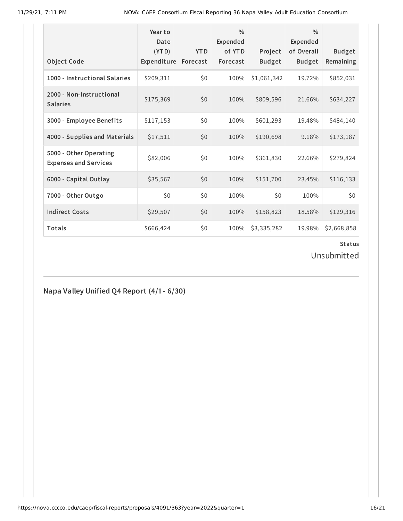| <b>Object Code</b>                                     | Year to<br>Date<br>(YTD)<br>Expenditure | <b>YTD</b><br>Forecast | $\frac{0}{0}$<br>Expended<br>of YTD<br>Forecast | Project<br><b>Budget</b> | $\frac{0}{0}$<br>Expended<br>of Overall<br><b>Budget</b> | <b>Budget</b><br>Remaining |
|--------------------------------------------------------|-----------------------------------------|------------------------|-------------------------------------------------|--------------------------|----------------------------------------------------------|----------------------------|
| 1000 - Instructional Salaries                          | \$209,311                               | \$0                    | 100%                                            | \$1,061,342              | 19.72%                                                   | \$852,031                  |
| 2000 - Non-Instructional<br><b>Salaries</b>            | \$175,369                               | \$0                    | 100%                                            | \$809,596                | 21.66%                                                   | \$634,227                  |
| 3000 - Employee Benefits                               | \$117,153                               | \$0                    | 100%                                            | \$601,293                | 19.48%                                                   | \$484,140                  |
| 4000 - Supplies and Materials                          | \$17,511                                | \$0                    | 100%                                            | \$190,698                | 9.18%                                                    | \$173,187                  |
| 5000 - Other Operating<br><b>Expenses and Services</b> | \$82,006                                | \$0                    | 100%                                            | \$361,830                | 22.66%                                                   | \$279,824                  |
| 6000 - Capital Outlay                                  | \$35,567                                | \$0                    | 100%                                            | \$151,700                | 23.45%                                                   | \$116,133                  |
| 7000 - Other Outgo                                     | \$0                                     | \$0                    | 100%                                            | \$0                      | 100%                                                     | \$0                        |
| <b>Indirect Costs</b>                                  | \$29,507                                | \$0                    | 100%                                            | \$158,823                | 18.58%                                                   | \$129,316                  |
| Totals                                                 | \$666,424                               | \$0                    | 100%                                            | \$3,335,282              | 19.98%                                                   | \$2,668,858                |

Unsubmitted

**Napa Valley Unified Q4 Report (4/1- 6/30)**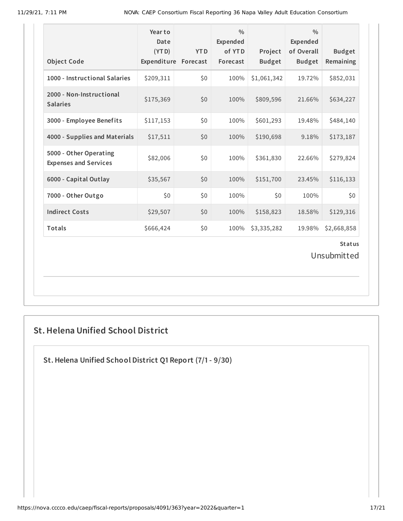| <b>Object Code</b>                                     | Year to<br>Date<br>(YTD)<br>Expenditure Forecast | <b>YTD</b> | $\frac{0}{0}$<br>Expended<br>of YTD<br>Forecast | Project<br><b>Budget</b> | $\frac{0}{0}$<br><b>Expended</b><br>of Overall<br><b>Budget</b> | <b>Budget</b><br>Remaining |  |  |  |
|--------------------------------------------------------|--------------------------------------------------|------------|-------------------------------------------------|--------------------------|-----------------------------------------------------------------|----------------------------|--|--|--|
| 1000 - Instructional Salaries                          | \$209,311                                        | \$0        | 100%                                            | \$1,061,342              | 19.72%                                                          | \$852,031                  |  |  |  |
| 2000 - Non-Instructional<br><b>Salaries</b>            | \$175,369                                        | \$0        | 100%                                            | \$809,596                | 21.66%                                                          | \$634,227                  |  |  |  |
| 3000 - Employee Benefits                               | \$117,153                                        | \$0        | 100%                                            | \$601,293                | 19.48%                                                          | \$484,140                  |  |  |  |
| 4000 - Supplies and Materials                          | \$17,511                                         | \$0        | 100%                                            | \$190,698                | 9.18%                                                           | \$173,187                  |  |  |  |
| 5000 - Other Operating<br><b>Expenses and Services</b> | \$82,006                                         | \$0        | 100%                                            | \$361,830                | 22.66%                                                          | \$279,824                  |  |  |  |
| 6000 - Capital Outlay                                  | \$35,567                                         | \$0        | 100%                                            | \$151,700                | 23.45%                                                          | \$116,133                  |  |  |  |
| 7000 - Other Outgo                                     | \$0                                              | \$0        | 100%                                            | \$0                      | 100%                                                            | \$0                        |  |  |  |
| <b>Indirect Costs</b>                                  | \$29,507                                         | \$0        | 100%                                            | \$158,823                | 18.58%                                                          | \$129,316                  |  |  |  |
| <b>Totals</b>                                          | \$666,424                                        | \$0        | 100%                                            | \$3,335,282              | 19.98%                                                          | \$2,668,858                |  |  |  |
|                                                        | <b>Status</b><br>Unsubmitted                     |            |                                                 |                          |                                                                 |                            |  |  |  |

## **St.Helena Unified School District**

**St.Helena Unified School District Q1 Report (7/1- 9/30)**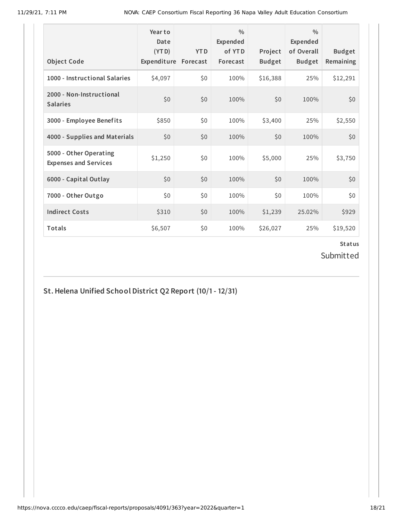| <b>Object Code</b>                                     | Year to<br>Date<br>(YTD)<br>Expenditure | <b>YTD</b><br>Forecast | $\frac{0}{0}$<br>Expended<br>of YTD<br>Forecast | Project<br><b>Budget</b> | $\frac{0}{0}$<br>Expended<br>of Overall<br><b>Budget</b> | <b>Budget</b><br>Remaining |
|--------------------------------------------------------|-----------------------------------------|------------------------|-------------------------------------------------|--------------------------|----------------------------------------------------------|----------------------------|
| 1000 - Instructional Salaries                          | \$4,097                                 | \$0                    | 100%                                            | \$16,388                 | 25%                                                      | \$12,291                   |
| 2000 - Non-Instructional<br><b>Salaries</b>            | \$0                                     | \$0                    | 100%                                            | \$0                      | 100%                                                     | \$0                        |
| 3000 - Employee Benefits                               | \$850                                   | \$0                    | 100%                                            | \$3,400                  | 25%                                                      | \$2,550                    |
| 4000 - Supplies and Materials                          | \$0                                     | \$0                    | 100%                                            | \$0\$                    | 100%                                                     | \$0                        |
| 5000 - Other Operating<br><b>Expenses and Services</b> | \$1,250                                 | \$0                    | 100%                                            | \$5,000                  | 25%                                                      | \$3,750                    |
| 6000 - Capital Outlay                                  | \$0                                     | \$0                    | 100%                                            | \$0                      | 100%                                                     | \$0                        |
| 7000 - Other Outgo                                     | \$0                                     | \$0                    | 100%                                            | \$0                      | 100%                                                     | \$0                        |
| <b>Indirect Costs</b>                                  | \$310                                   | \$0                    | 100%                                            | \$1,239                  | 25.02%                                                   | \$929                      |
| <b>Totals</b>                                          | \$6,507                                 | \$0                    | 100%                                            | \$26,027                 | 25%                                                      | \$19,520                   |

Submitted

**St.Helena Unified School District Q2 Report (10/1- 12/31)**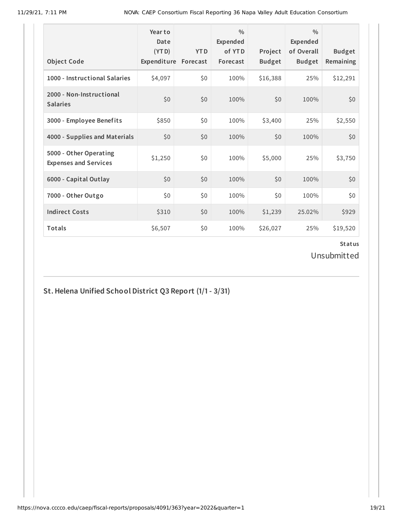| <b>Object Code</b>                                     | Year to<br>Date<br>(YTD)<br>Expenditure | <b>YTD</b><br>Forecast | $\frac{0}{0}$<br>Expended<br>of YTD<br>Forecast | Project<br><b>Budget</b> | $\frac{0}{0}$<br>Expended<br>of Overall<br><b>Budget</b> | <b>Budget</b><br>Remaining |
|--------------------------------------------------------|-----------------------------------------|------------------------|-------------------------------------------------|--------------------------|----------------------------------------------------------|----------------------------|
| 1000 - Instructional Salaries                          | \$4,097                                 | \$0                    | 100%                                            | \$16,388                 | 25%                                                      | \$12,291                   |
| 2000 - Non-Instructional<br><b>Salaries</b>            | \$0                                     | \$0                    | 100%                                            | \$0                      | 100%                                                     | \$0                        |
| 3000 - Employee Benefits                               | \$850                                   | \$0                    | 100%                                            | \$3,400                  | 25%                                                      | \$2,550                    |
| 4000 - Supplies and Materials                          | \$0\$                                   | \$0                    | 100%                                            | \$0                      | 100%                                                     | \$0                        |
| 5000 - Other Operating<br><b>Expenses and Services</b> | \$1,250                                 | \$0                    | 100%                                            | \$5,000                  | 25%                                                      | \$3,750                    |
| 6000 - Capital Outlay                                  | \$0                                     | \$0                    | 100%                                            | \$0                      | 100%                                                     | \$0                        |
| 7000 - Other Outgo                                     | \$0                                     | \$0                    | 100%                                            | \$0                      | 100%                                                     | \$0                        |
| <b>Indirect Costs</b>                                  | \$310                                   | \$0                    | 100%                                            | \$1,239                  | 25.02%                                                   | \$929                      |
| <b>Totals</b>                                          | \$6,507                                 | \$0                    | 100%                                            | \$26,027                 | 25%                                                      | \$19,520                   |

Unsubmitted

## **St.Helena Unified School District Q3 Report (1/1- 3/31)**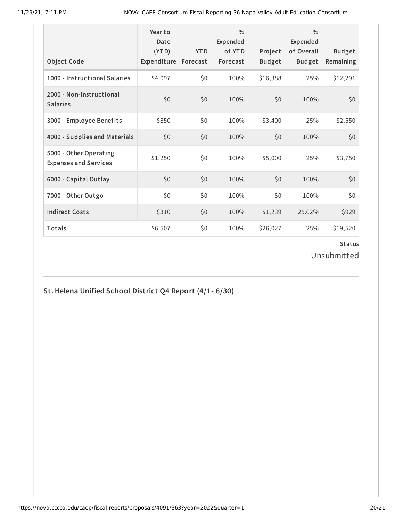| <b>Object Code</b>                                     | Year to<br>Date<br>(YTD)<br>Expenditure | <b>YTD</b><br>Forecast | $\frac{0}{0}$<br>Expended<br>of YTD<br>Forecast | Project<br><b>Budget</b> | $\frac{0}{0}$<br>Expended<br>of Overall<br><b>Budget</b> | <b>Budget</b><br>Remaining |
|--------------------------------------------------------|-----------------------------------------|------------------------|-------------------------------------------------|--------------------------|----------------------------------------------------------|----------------------------|
| 1000 - Instructional Salaries                          | \$4,097                                 | \$0                    | 100%                                            | \$16,388                 | 25%                                                      | \$12,291                   |
| 2000 - Non-Instructional<br><b>Salaries</b>            | \$0                                     | \$0                    | 100%                                            | \$0                      | 100%                                                     | \$0                        |
| 3000 - Employee Benefits                               | \$850                                   | \$0                    | 100%                                            | \$3,400                  | 25%                                                      | \$2,550                    |
| 4000 - Supplies and Materials                          | \$0                                     | \$0                    | 100%                                            | \$0\$                    | 100%                                                     | \$0                        |
| 5000 - Other Operating<br><b>Expenses and Services</b> | \$1,250                                 | \$0                    | 100%                                            | \$5,000                  | 25%                                                      | \$3,750                    |
| 6000 - Capital Outlay                                  | \$0                                     | \$0                    | 100%                                            | \$0                      | 100%                                                     | \$0                        |
| 7000 - Other Outgo                                     | \$0                                     | \$0                    | 100%                                            | \$0                      | 100%                                                     | \$0                        |
| <b>Indirect Costs</b>                                  | \$310                                   | \$0                    | 100%                                            | \$1,239                  | 25.02%                                                   | \$929                      |
| <b>Totals</b>                                          | \$6,507                                 | \$0                    | 100%                                            | \$26,027                 | 25%                                                      | \$19,520                   |

Unsubmitted

## **St.Helena Unified School District Q4 Report (4/1- 6/30)**